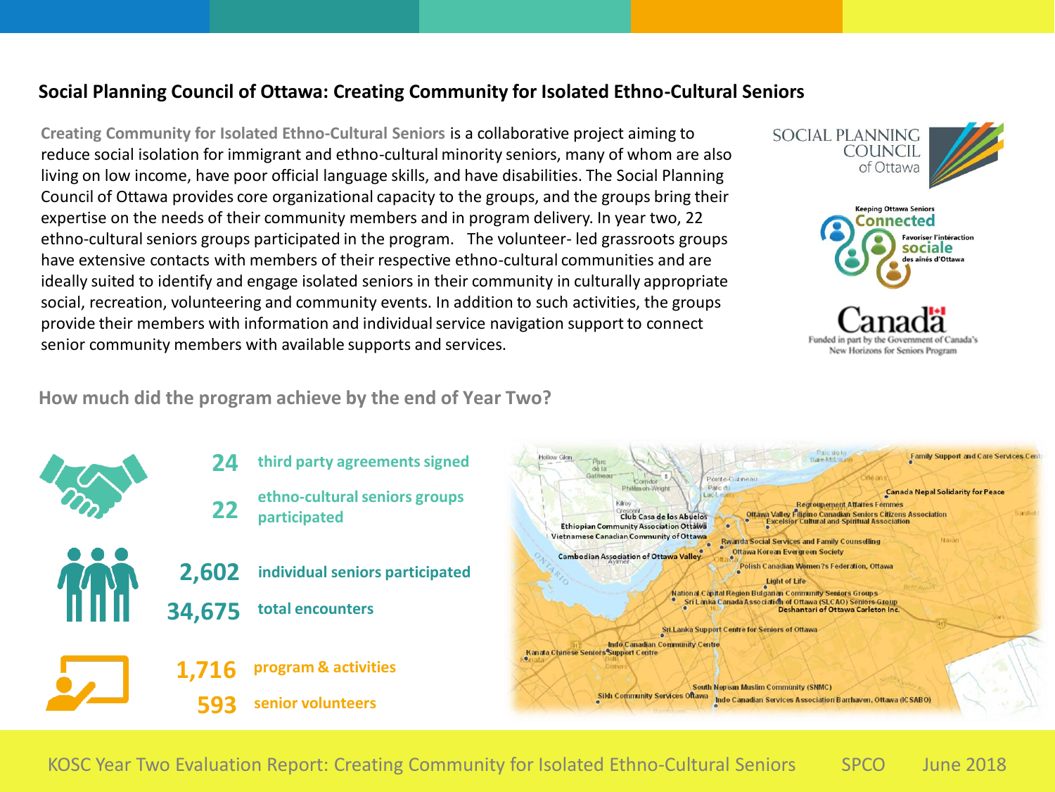## **Social Planning Council of Ottawa: Creating Community for Isolated Ethno-Cultural Seniors**

**Creating Community for Isolated Ethno-Cultural Seniors** is a collaborative project aiming to reduce social isolation for immigrant and ethno-cultural minority seniors, many of whom are also living on low income, have poor official language skills, and have disabilities. The Social Planning Council of Ottawa provides core organizational capacity to the groups, and the groups bring their expertise on the needs of their community members and in program delivery. In year two, 22 ethno-cultural seniors groups participated in the program. The volunteer- led grassroots groups have extensive contacts with members of their respective ethno-cultural communities and are ideally suited to identify and engage isolated seniors in their community in culturally appropriate social, recreation, volunteering and community events. In addition to such activities, the groups provide their members with information and individual service navigation support to connect senior community members with available supports and services.



## **How much did the program achieve by the end of Year Two?**



KOSC Year Two Evaluation Report: Creating Community for Isolated Ethno-Cultural Seniors SPCO June 2018